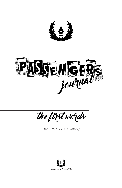



the first words

*2020-2021 Selected Antology*

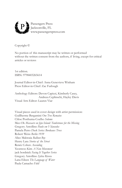

Copyright ©

No portion of this manuscript may be written or performed without the written consent from the authors, if living, except for critical articles or reviews

1st edition. ISBN: 9798403265614

Journal Editor-in-Chief: Anna Genevieve Winham Press Editor-in-Chief: Zac Furlough

Anthology Editors: Devon Capizzi, Kimberly Casey, Andreea Ceplinschi, Hayley Davis Visual Arts Editor: Lauren Viar

Visual pieces used in cover design with artist permission: Guillherme Bergamini *One Tree Remains* Chloe Posthuma-Coelho *Solemn* Mee-Ok *Massacre on Jeju Island: Tombstones for the Missing* Gregory Antollino *Paulo em Vilanculos*  Pamela Petro *Dusk Series: Bordeaux Trees*  Robert Weiss *Berlin 1939* Alice Makwaia *Balloon Boy* Henry Lara *Stories of the Street* Renée Cohen *Ascending* Yeonwoo Kim *A New Movement* jack bordnick *Facing It Together Series* Gregory Antollino *Sylvia Rivera* Lana Eileen *The Language of Water* Paula Camacho *Fútil*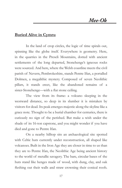## **Buried Alive in Cymru**

In the land of crop circles, the logic of time spirals out, spinning like the globe itself. Everywhere is geometry. Here, in the quarries in the Preseli Mountains, dotted with ancient settlements of the long departed, Stonehenge's igneous rocks were sourced. And here, where the Welsh coastline meets the civil parish of Nevern, Pembrokeshire, stands Pentre Ifan, a portalled Dolmen, a megalithic mystery. Composed of seven Neolithic pillars, it stands erect, like the abandoned remains of a sister-Stonehenge—with a fat stone ceiling.

 The view from its frame: a volcano sleeping in the westward distance, so deep in its slumber it is mistaken by visitors for dead. Its peak emerges majestic along the skyline like a grace note. Thought to be a burial chamber for centuries, there is curiously no sign of the perished. But make a wish under the shade of its 16-ton capstone, and you might wonder if you have died and gone to Pentre Ifan.

 On a nearby hilltop sits an archaeological site spotted with Celtic huts currently under reconstruction, all shaped like volcanoes. Built in the Iron Age they are closer in time to us than they are to Pentre Ifan, the Neolithic Age being ancient history to the world of metallic savagery. The bare, circular bases of the huts stand like henges made of wood, with dung, clay, and oak feshing out their walls and straw crowning their conical roofs.